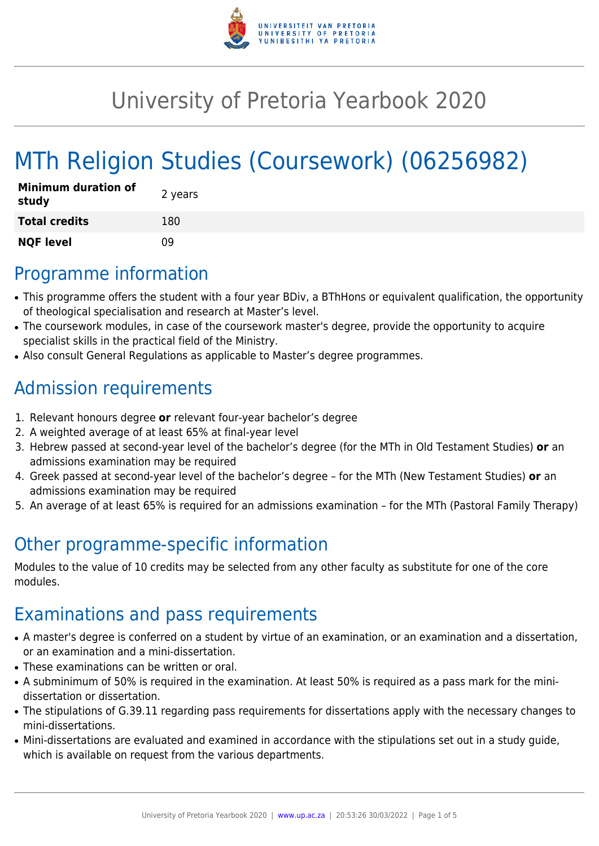

# University of Pretoria Yearbook 2020

# MTh Religion Studies (Coursework) (06256982)

| <b>Minimum duration of</b><br>study | 2 years |
|-------------------------------------|---------|
| <b>Total credits</b>                | 180     |
| <b>NQF level</b>                    | n۹      |

# Programme information

- This programme offers the student with a four year BDiv, a BThHons or equivalent qualification, the opportunity of theological specialisation and research at Master's level.
- The coursework modules, in case of the coursework master's degree, provide the opportunity to acquire specialist skills in the practical field of the Ministry.
- Also consult General Regulations as applicable to Master's degree programmes.

# Admission requirements

- 1. Relevant honours degree **or** relevant four-year bachelor's degree
- 2. A weighted average of at least 65% at final-year level
- 3. Hebrew passed at second-year level of the bachelor's degree (for the MTh in Old Testament Studies) **or** an admissions examination may be required
- 4. Greek passed at second-year level of the bachelor's degree for the MTh (New Testament Studies) **or** an admissions examination may be required
- 5. An average of at least 65% is required for an admissions examination for the MTh (Pastoral Family Therapy)

# Other programme-specific information

Modules to the value of 10 credits may be selected from any other faculty as substitute for one of the core modules.

## Examinations and pass requirements

- A master's degree is conferred on a student by virtue of an examination, or an examination and a dissertation, or an examination and a mini-dissertation.
- These examinations can be written or oral.
- A subminimum of 50% is required in the examination. At least 50% is required as a pass mark for the minidissertation or dissertation.
- The stipulations of G.39.11 regarding pass requirements for dissertations apply with the necessary changes to mini-dissertations.
- Mini-dissertations are evaluated and examined in accordance with the stipulations set out in a study guide, which is available on request from the various departments.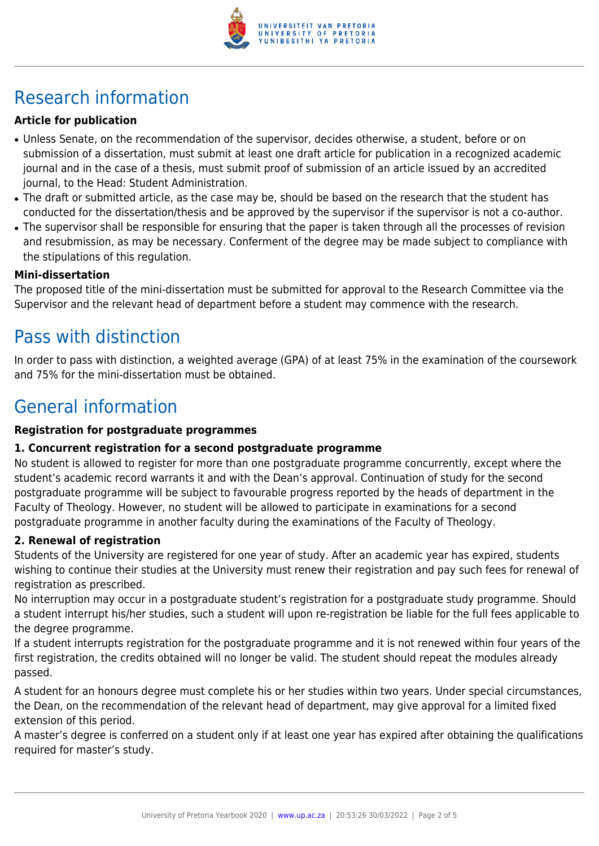

# Research information

#### **Article for publication**

- Unless Senate, on the recommendation of the supervisor, decides otherwise, a student, before or on submission of a dissertation, must submit at least one draft article for publication in a recognized academic journal and in the case of a thesis, must submit proof of submission of an article issued by an accredited journal, to the Head: Student Administration.
- The draft or submitted article, as the case may be, should be based on the research that the student has conducted for the dissertation/thesis and be approved by the supervisor if the supervisor is not a co-author.
- The supervisor shall be responsible for ensuring that the paper is taken through all the processes of revision and resubmission, as may be necessary. Conferment of the degree may be made subject to compliance with the stipulations of this regulation.

#### **Mini-dissertation**

The proposed title of the mini-dissertation must be submitted for approval to the Research Committee via the Supervisor and the relevant head of department before a student may commence with the research.

### Pass with distinction

In order to pass with distinction, a weighted average (GPA) of at least 75% in the examination of the coursework and 75% for the mini-dissertation must be obtained.

# General information

#### **Registration for postgraduate programmes**

#### **1. Concurrent registration for a second postgraduate programme**

No student is allowed to register for more than one postgraduate programme concurrently, except where the student's academic record warrants it and with the Dean's approval. Continuation of study for the second postgraduate programme will be subject to favourable progress reported by the heads of department in the Faculty of Theology. However, no student will be allowed to participate in examinations for a second postgraduate programme in another faculty during the examinations of the Faculty of Theology.

#### **2. Renewal of registration**

Students of the University are registered for one year of study. After an academic year has expired, students wishing to continue their studies at the University must renew their registration and pay such fees for renewal of registration as prescribed.

No interruption may occur in a postgraduate student's registration for a postgraduate study programme. Should a student interrupt his/her studies, such a student will upon re-registration be liable for the full fees applicable to the degree programme.

If a student interrupts registration for the postgraduate programme and it is not renewed within four years of the first registration, the credits obtained will no longer be valid. The student should repeat the modules already passed.

A student for an honours degree must complete his or her studies within two years. Under special circumstances, the Dean, on the recommendation of the relevant head of department, may give approval for a limited fixed extension of this period.

A master's degree is conferred on a student only if at least one year has expired after obtaining the qualifications required for master's study.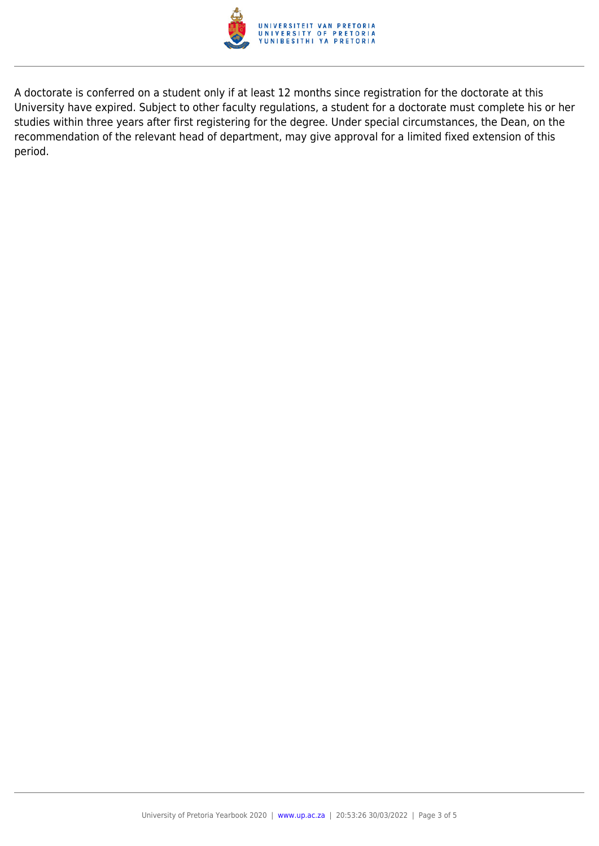

A doctorate is conferred on a student only if at least 12 months since registration for the doctorate at this University have expired. Subject to other faculty regulations, a student for a doctorate must complete his or her studies within three years after first registering for the degree. Under special circumstances, the Dean, on the recommendation of the relevant head of department, may give approval for a limited fixed extension of this period.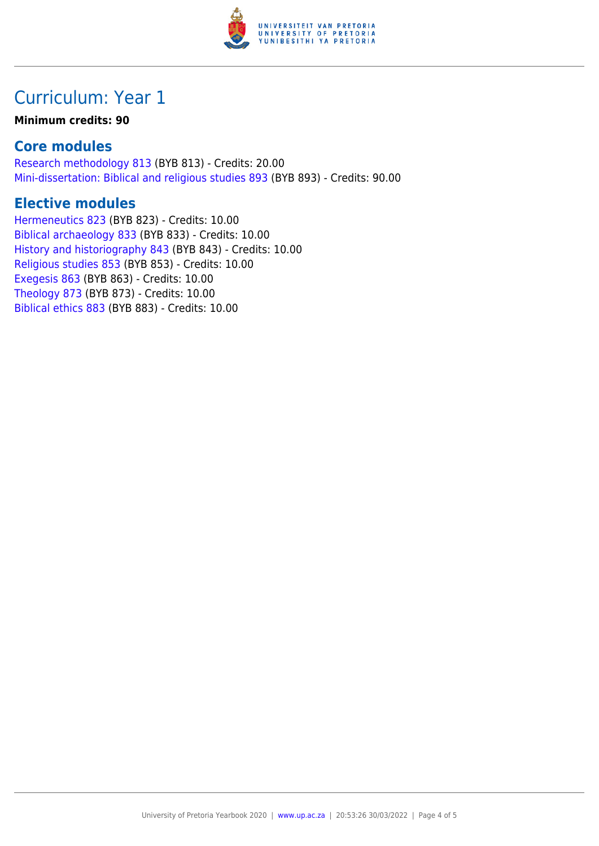

## Curriculum: Year 1

#### **Minimum credits: 90**

#### **Core modules**

[Research methodology 813](https://www.up.ac.za/yearbooks/2020/modules/view/BYB 813) (BYB 813) - Credits: 20.00 [Mini-dissertation: Biblical and religious studies 893](https://www.up.ac.za/yearbooks/2020/modules/view/BYB 893) (BYB 893) - Credits: 90.00

#### **Elective modules**

[Hermeneutics 823](https://www.up.ac.za/yearbooks/2020/modules/view/BYB 823) (BYB 823) - Credits: 10.00 [Biblical archaeology 833](https://www.up.ac.za/yearbooks/2020/modules/view/BYB 833) (BYB 833) - Credits: 10.00 [History and historiography 843](https://www.up.ac.za/yearbooks/2020/modules/view/BYB 843) (BYB 843) - Credits: 10.00 [Religious studies 853](https://www.up.ac.za/yearbooks/2020/modules/view/BYB 853) (BYB 853) - Credits: 10.00 [Exegesis 863](https://www.up.ac.za/yearbooks/2020/modules/view/BYB 863) (BYB 863) - Credits: 10.00 [Theology 873](https://www.up.ac.za/yearbooks/2020/modules/view/BYB 873) (BYB 873) - Credits: 10.00 [Biblical ethics 883](https://www.up.ac.za/yearbooks/2020/modules/view/BYB 883) (BYB 883) - Credits: 10.00